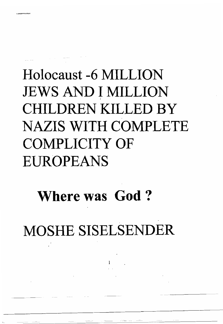## Holocaust -6 MILLION JEWS AND I MILLION CHILDREN KILLED BY NAZIS WITH COMPLETE COMPLICITY OF EUROPEANS

## Where was God ?

MOSHE SISELSENDER

1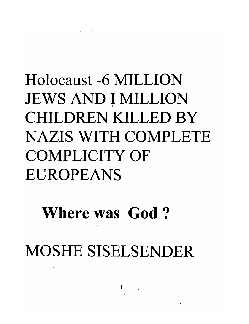## Holocaust -6 MILLION JEWS AND I MILLION CHILDREN KILLED BY NAZIS WITH COMPLETE COMPLICITY OF EUROPEANS

## Where was God ?

MOSHE SISELSENDER

 $\mathbf{I}^{\perp}$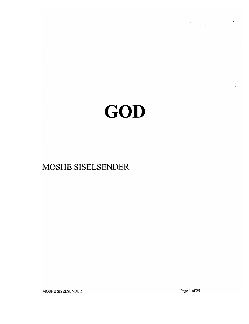## GOD

MOSHE SISELSENDER

Page 1 of 25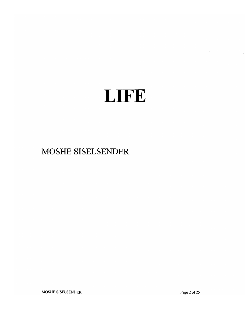## LIFE

#### MOSHE SISELSENDER

MOSHE SISELSENDER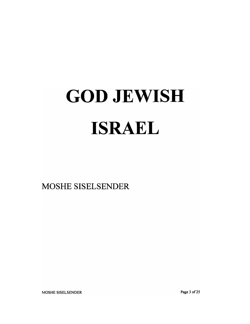# **GOD JEWISH**

**13D10D11** 

MOSHE SISELSENDER

Page 3 of 25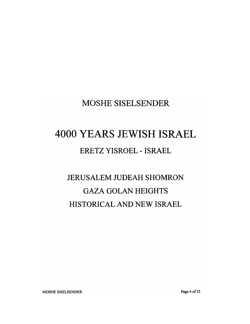#### MOSHE SISELSENDER

#### 4000 YEARS JEWISH ISRAEL

#### ERETZ YISROEL - ISRAEL

### JERUSALEM JUDEAH SHOMRON GAZA GOLAN HEIGHTS HISTORICAL AND NEW ISRAEL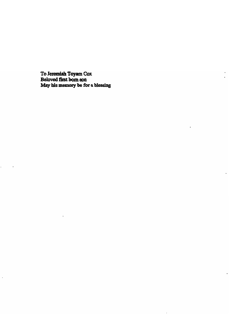May his memory be for a blessing To Jeremiah Toyam Co:<br>Beloved first bom son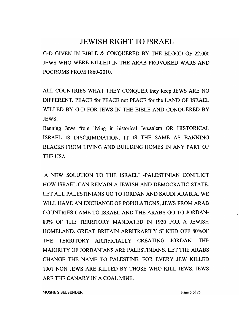#### JEWISH RIGHT TO ISRAEL

G-D GIVEN IN BIBLE & CONQUERED BY THE BLOOD OF 22,000 JEWS WHO WERE KILLED IN THE ARAB PROVOKED WARS AND POGROMS FROM 1860-2010.

ALL COUNTRIES WHAT THEY CONQUER they keep JEWS ARE NO DIFFERENT. PEACE for PEACE not PEACE for the LAND OF ISRAEL WILLED BY G-D FOR JEWS IN THE BIBLE AND CONQUERED BY JEWS.

Banning Jews from living in historical Jerusalem OR HISTORICAL ISRAEL IS DISCRIMINATION. IT IS THE SAME AS BANNING BLACKS FROM LIVING AND BUILDING HOMES IN ANY PART OF THE USA.

A NEW SOLUTION TO THE ISRAELI -PALESTINIAN CONFLICT HOW ISRAEL CAN REMAIN A JEWISH AND DEMOCRATIC STATE. LET ALL PALESTINIANS GO TO JORDAN AND SAUDI ARABIA. WE WILL HAVE AN EXCHANGE OF POPULATIONS, JEWS FROM ARAB COUNTRIES CAME TO ISRAEL AND THE ARABS GO TO JORDAN-80% OF THE TERRITORY MANDATED IN 1920 FOR A JEWISH HOMELAND. GREAT BRITAIN ARBITRARILY SLICED OFF 80%OF THE TERRITORY ARTIFICIALLY CREATING JORDAN. THE MAJORITY OF JORDANIANS ARE PALESTINIANS. LET THE ARABS CHANGE THE NAME TO PALESTINE. FOR EVERY JEW KILLED 1001 NON JEWS ARE KILLED BY THOSE WHO KILL JEWS. JEWS ARE THE CANARY IN A COAL MINE.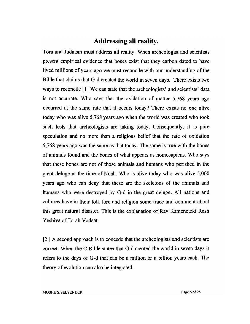#### **Addressing all reality.**

Tora and Judaism must address all reality. When archeologist and scientists present empirical evidence that bones exist that they carbon dated to have lived millions of years ago we must reconcile with our understanding of the Bible that claims that G-d created the world in seven days. There exists two ways to reconcile [1] We can state that the archeologists' and scientists' data is not accurate. Who says that the oxidation of matter 5,768 years ago occurred at the same rate that it occurs today? There exists no one alive today who was alive 5,768 years ago when the world was created who took such tests that archeologists are taking today. Consequently, it is pure speculation and no more than a religious belief that the rate of oxidation 5,768 years ago was the same as that today. The same is true with the bones of animals found and the bones of what appears as homosapiens. Who says that these bones are not of those animals and humans who perished in the great deluge at the time of Noah. Who is alive today who was alive 5,000 years ago who can deny that these are the skeletons of the animals and humans who were destroyed by G-d in the great deluge. All nations and cultures have in their folk lore and religion some trace and comment about this great natural disaster. This is the explanation of Rav Kamenetzki Rosh Yeshiva of Torah Vodaat.

[2 ] A second approach is to concede that the archeologists and scientists are correct. When the C Bible states that G-d created the world in seven days it refers to the days of G-d that can be a million or a billion years each. The theory of evolution can also be integrated.

MOSHE SISELSENDER **Page 6** of 25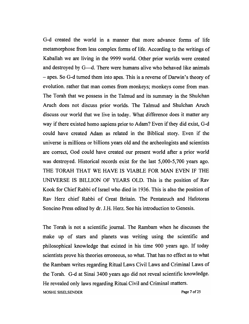G-d created the world in a manner that more advance forms of life metamorphose from less complex forms of life. According to the writings of Kaballah we are living in the 9999 world. Other prior worlds were created and destroyed by G—d. There were humans alive who behaved like animals - apes. So G-d turned them into apes. This is a reverse of Darwin's theory of evolution. rather that man comes from monkeys; monkeys come from man. The Torah that we possess in the Talmud and its summary in the Shulchan Aruch does not discuss prior worlds. The Talmud and Shulchan Aruch discuss our world that we live in today. What difference does it matter any way if there existed homo sapiens prior to Adam? Even if they did exist, G-d could have created Adam as related in the Biblical story. Even if the universe is millions or billions years old and the archeologists and scientists are correct, God could have created our present world after a prior world was destroyed. Historical records exist for the last 5,000-5,700 years ago. THE TORAH THAT WE HAVE IS VIABLE FOR MAN EVEN IF THE UNIVERSE IS BILLION OF YEARS OLD. This is the position of Rav Kook for Chief Rabbi of Israel who died in 1936. This is also the position of Rav Herz chief Rabbi of Great Britain. The Pentateuch and Hafotoras Soncino Press edited by dr. J.H. Herz. See his introduction to Genesis.

The Torah is not a scientific journal. The Rambam when he discusses the make up of stars and planets was writing using the scientific and philosophical knowledge that existed in his time 900 years ago. If today scientists prove his theories erroneous, so what. That has no effect as to what the Rambam writes regarding Ritual Laws Civil Laws and Criminal Laws of the Torah. G-d at Sinai 3400 years ago did not reveal scientific knowledge. He revealed only laws regarding Ritual Civil and Criminal matters. MOSHE SISELSENDER **Page 7 of 25**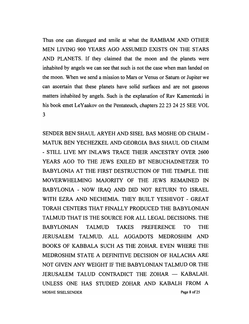Thus one can disregard and smile at what the RAMBAM AND OTHER MEN LIVING 900 YEARS AGO ASSUMED EXISTS ON THE STARS AND PLANETS. If they claimed that the moon and the planets were inhabited by angels we can see that such is not the case when man landed on the moon. When we send a mission to Mars or Venus or Saturn or Jupiter we can ascertain that these planets have solid surfaces and are not gaseous matters inhabited by angels. Such is the explanation of Rav Kamentezki in his book emet LeYaakov on the Pentateuch, chapters 22 23 2425 SEE VOL 3

SENDER BEN SHAUL ARYEH AND SISEL BAS MOSHE OD CHAIM - MATUK BEN YECHEZKEL AND GEORGIA BAS SHAUL OD CHAIM - STILL LIVE MY INLAWS TRACE THEIR ANCESTRY OVER 2600 YEARS AGO TO THE JEWS EXILED BT NEBUCHADNETZER TO BABYLONIA AT THE FIRST DESTRUCTION OF THE TEMPLE. THE MOVERWHELMING MAJORITY OF THE JEWS REMAINED IN BABYLONIA - NOW IRAQ AND DID NOT RETURN TO ISRAEL WITH EZRA AND NECHEMIA. THEY BUILT YESHIVOT - GREAT TORAH CENTERS THAT FINALLY PRODUCED THE BABYLONIAN TALMUD THAT IS THE SOURCE FOR ALL LEGAL DECISIONS. THE BABYLONIAN TALMUD TAKES PREFERENCE TO THE JERUSALEM TALMUD. ALL AGGADOTS MEDROSHIM AND BOOKS OF KABBALA SUCH AS THE ZOHAR. EVEN WHERE THE MEDROSHIM STATE A DEFINITIVE DECISION OF HALACHA ARE NOT GIVEN ANY WEIGHT IF THE BABYLONIAN TALMUD OR THE JERUSALEM TALUD CONTRADICT THE ZOHAR - KABALAH. UNLESS ONE HAS STUDIED ZOHAR AND KABALH FROM A MOSHE SISELSENDER **Page 8** of 25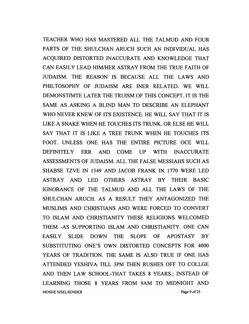TEACHER WHO HAS MASTERED ALL THE TALMUD AND FOUR PARTS OF THE SHULCHAN ARUCH SUCH AN INDIVIDUAL HAS ACQUIRED DISTORTED INACCURATE AND KNOWLEDGE THAT CAN EASILY LEAD HIM/HER ASTRAY FROM THE TRUE FAITH OF JUDAISM. THE REASON IS BECAUSE ALL THE LAWS AND PHILTOSOPHY OF JUDAISM ARE INER RELATED. WE WILL DEMONSTIMTE LATER THE TRUISM OF THIS CONCEPT. IT IS THE SAME AS ASKING A BLIND MAN TO DESCRIBE AN ELEPHANT WHO NEVER KNEW OF ITS EXISTENCE. HE WILL SAY THAT IT IS LIKE A SNAKE WHEN HE TOUCHES ITS TRUNK. OR ELSE HE WILL SAY THAT IT IS LIKE A TREE TRUNK WHEN HE TOUCHES ITS FOOT. UNLESS ONE HAS THE ENTIRE PICTURE OCE WILL DEFINITELY ERR AND COME UP WITH INACCURATE ASSESSMENTS OF JUDAISM. ALL THE FALSE MESSIAHS SUCH AS SHABSE TZVE IN 1549 AND JACOB FRANK IN 1770 WERE LED ASTRAY AND LED OTHERS ASTRAY BY THEIR BASIC IGNORANCE OF THE TALMUD AND ALL THE LAWS OF THE SHULCHAN ARUCH. AS A RESULT THEY ANTAGONIZED THE MUSLIMS AND CHRISTIANS AND WERE FORCED TO CONVERT TO ISLAM AND CHRISTIANITY THESE RELIGIONS WELCOMED THEM -AS SUPPORTING ISLAM AND CHRISTIANITY. ONE CAN EASILY SLIDE DOWN THE SLOPE OF APOSTASY BY SUBSTITUTING ONE'S OWN DISTORTED CONCEPTS FOR 4000 YEARS OF TRADITION. THE SAME IS ALSO TRUE IF ONE HAS ATTENDED YESHIVA TILL 3PM THEN RUSHES OFF TO COLLGE AND THEN LA W SCHOOL-THAT TAKES 8 YEARS.; INSTEAD OF LEARNING THOSE 8 YEARS FROM 9AM TO MIDNIGHT AND MOSHE SISELSENDER **Page 9** of 25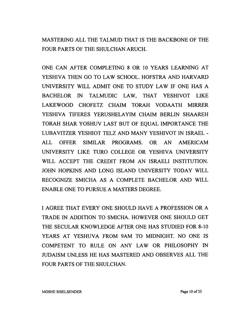MASTERING ALL THE TALMUD THAT IS THE BACKBONE OF THE FOUR PARTS OF THE SHULCHAN ARUCH.

ONE CAN AFTER COMPLETING 8 OR 10 YEARS LEARNING AT YESHIVA THEN GO TO LAW SCHOOL. HOFSTRA AND HARVARD UNIVERSITY WILL ADMIT ONE TO STUDY LAW IF ONE HAS A BACHELOR IN TALMUDIC LAW, THAT YESHIVOT LIKE LAKEWOOD CHOFETZ CHAIM TORAH VODAATH MIRRER YESHIVA TIFERES YERUSHELA YIM CHAIM BERLIN SHAAREH TORAH SHAR YOSHUV LAST BUT OF EQUAL IMPORTANCE THE LUBA VITZER YESHIOT TELZ AND MANY YESHIVOT IN ISRAEL - ALL OFFER SIMILAR PROGRAMS. OR AN AMERICAM UNIVERSITY LIKE TURO COLLEGE OR YESHIVA UNIVERSITY WILL ACCEPT THE CREDIT FROM AN ISRAELI INSTITUTION. JOHN HOPKINS AND LONG ISLAND UNIVERSITY TODAY WILL RECOGNIZE SMICHA AS A COMPLETE BACHELOR AND WILL ENABLE ONE TO PURSUE A MASTERS DEGREE.

I AGREE THAT EVERY ONE SHOULD HAVE A PROFESSION OR A TRADE IN ADDITION TO SMICHA. HOWEVER ONE SHOULD GET THE SECULAR KNOWLEDGE AFTER ONE HAS STUDIED FOR 8-10 YEARS AT YESHUVA FROM 9AM TO MIDNIGHT. NO ONE IS COMPETENT TO RULE ON ANY LAW OR PHILOSOPHY IN JUDAISM UNLESS HE HAS MASTERED AND OBSERVES ALL THE FOUR PARTS OF THE SHULCHAN.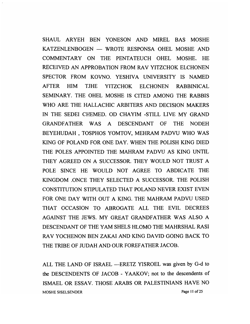SHAUL ARYEH BEN YONESON AND MIREL BAS MOSHE KATZENLENBOGEN - WROTE RESPONSA OHEL MOSHE AND COMMENTARY ON THE PENTATEUCH OHEL MOSHE. HE RECEIVED AN APPROBATION FROM RAV YITZCHOK ELCHONEN SPECTOR FROM KOVNO. YESHIVA UNIVERSITY IS NAMED AFTER HIM TJHE YITZCHOK ELCHONEN RABBINICAL SEMINARY. THE OHEL MOSHE IS CITED AMONG THE RABBIS WHO ARE THE HALLACHIC ARBITERS AND DECISION MAKERS IN THE SEDEI CHEMED. OD CHA YIM -STILL LIVE MY GRAND GRANDFATHER WAS A DESCENDANT OF THE NODEH BEYEHUDAH , TOSPHOS YOMTOV, MEHRAM PADVU WHO WAS KING OF POLAND FOR ONE DAY. WHEN THE POLISH KING DIED THE POLES APPOINTED THE MAHRAM PADVU AS KING UNTIL THEY AGREED ON A SUCCESSOR. THEY WOULD NOT TRUST A POLE SINCE HE WOULD NOT AGREE TO ABDICATE THE KINGDOM .ONCE THEY SELECTED A SUCCESSOR. THE POLISH CONSTITUTION STIPULATED THAT POLAND NEVER EXIST EVEN FOR ONE DAY WITH OUT A KING. THE MAHRAM PADVU USED THAT OCCASION TO ABROGATE ALL THE EVIL DECREES AGAINST THE JEWS. MY GREAT GRANDFATHER WAS ALSO A DESCENDANT OF THE YAM SHELS HLOMO THE MAHRSHAL RASI RA V YOCHENON BEN ZAKAI AND KING DAVID GOING BACK TO THE TRIBE OF JUDAH AND OUR FOREFATHER JACOB.

ALL THE LAND OF ISRAEL - ERETZ YISROEL was given by G-d to the DESCENDENTS OF JACOB - YAAKOV; not to the descendents of ISMAEL OR ESSAV. THOSE ARABS OR PALESTINIANS HAVE NO MOSHE SISELSENDER Page 11 of 25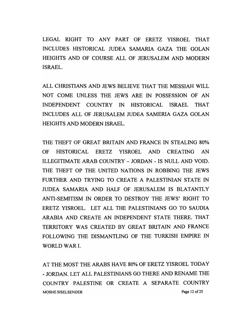LEGAL RIGHT TO ANY PART OF ERETZ YISROEL THAT INCLUDES HISTORICAL JUDEA SAMARIA GAZA THE GOLAN HEIGHTS AND OF COURSE ALL OF JERUSALEM AND MODERN ISRAEL.

ALL CHRISTIANS AND JEWS BELIEVE THAT THE MESSIAH WILL NOT COME UNLESS THE JEWS ARE IN POSSESSION OF AN INDEPENDENT COUNTRY IN HISTORICAL ISRAEL THAT INCLUDES ALL OF JERUSALEM JUDEA SAMERIA GAZA GOLAN HEIGHTS AND MODERN ISRAEL.

THE THEFT OF GREAT BRITAIN AND FRANCE IN STEALING 80% OF HISTORICAL ERETZ YISROEL AND CREATING AN ILLEGITIMATE ARAB COUNTRY - JORDAN - IS NULL AND VOID. THE THEFT OP THE UNITED NATIONS IN ROBBING THE JEWS FURTHER AND TRYING TO CREATE A PALESTINIAN STATE IN JUDEA SAMARIA AND HALF OF JERUSALEM IS BLATANTLY ANTI-SEMITISM IN ORDER TO DESTROY THE JEWS' RIGHT TO ERETZ YISROEL. LET ALL THE PALESTINIANS GO TO SAUDIA ARABIA AND CREATE AN INDEPENDENT STATE THERE. THAT TERRITORY WAS CREATED BY GREAT BRITAIN AND FRANCE FOLLOWING THE DISMANTLING OF THE TURKISH EMPIRE IN WORLD WAR I.

AT THE MOST THE ARABS HAVE 80% OF ERETZ YISROEL TODAY - JORDAN. LET ALL PALESTINIANS GO THERE AND RENAME THE COUNTRY PALESTINE OR CREATE A SEPARATE COUNTRY MOSHE SISELSENDER **Page 12 of 25**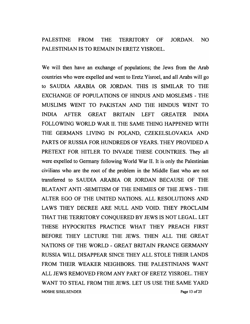#### PALESTINE FROM THE TERRITORY OF JORDAN. NO PALESTINIAN IS TO REMAIN IN ERETZ YISROEL.

We will then have an exchange of populations; the Jews from the Arab countries who were expelled and went to Eretz Yisroel, and all Arabs will go to SAUDIA ARABIA OR JORDAN. THIS IS SIMILAR TO THE EXCHANGE OF POPULATIONS OF HINDUS AND MOSLEMS - THE MUSLIMS WENT TO PAKISTAN AND THE HINDUS WENT TO INDIA AFTER GREAT BRITAIN LEFT GREATER INDIA FOLLOWING WORLD WAR II. THE SAME THING HAPPENED WITH THE GERMANS LIVING IN POLAND, CZEKELSLOVAKIA AND PARTS OF RUSSIA FOR HUNDREDS OF YEARS. THEY PROVIDED A PRETEXT FOR HITLER TO INVADE THESE COUNTRIES. They all were expelled to Germany following World War II. It is only the Palestinian civilians who are the root of the problem in the Middle East who are not transferred to SAUDIA ARABIA OR JORDAN BECAUSE OF THE BLATANT ANTI -SEMITISM OF THE ENEMIES OF THE JEWS - THE ALTER EGO OF THE UNITED NATIONS. ALL RESOLUTIONS AND LA WS THEY DECREE ARE NULL AND VOID. THEY PROCLAIM THAT THE TERRITORY CONQUERED BY JEWS IS NOT LEGAL. LET THESE HYPOCRITES PRACTICE WHAT THEY PREACH FIRST BEFORE THEY LECTURE THE JEWS. THEN ALL THE GREAT NATIONS OF THE WORLD - GREAT BRITAIN FRANCE GERMANY RUSSIA WILL DISAPPEAR SINCE THEY ALL STOLE THEIR LANDS FROM THEIR WEAKER NEIGHBORS. THE PALESTINIANS WANT ALL JEWS REMOVED FROM ANY PART OF ERETZ YISROEL. THEY WANT TO STEAL FROM THE JEWS. LET US USE THE SAME YARD MOSHE SISELSENDER **Page 13 of 25**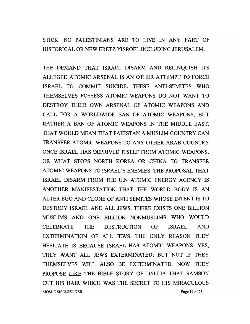STICK. NO PALESTINIANS ARE TO LIVE IN ANY PART OF HISTORICAL OR NEW ERETZ YISROEL INCLUDING JERUSALEM.

THE DEMAND THAT ISRAEL DISARM AND RELINQUISH ITS ALLEGED ATOMIC ARSENAL IS AN OTHER ATTEMPT TO FORCE ISRAEL TO COMMIT SUICIDE. THESE ANTI-SEMITES WHO THEMSELVES POSSESS ATOMIC WEAPONS DO NOT WANT TO DESTROY THEIR OWN ARSENAL OF ATOMIC WEAPONS AND CALL FOR A WORLDWIDE BAN OF ATOMIC WEAPONS; BUT RATHER A BAN OF ATOMIC WEAPONS IN THE MIDDLE EAST. THAT WOULD MEAN THAT PAKISTAN A MUSLIM COUNTRY CAN TRANSFER ATOMIC WEAPONS TO ANY OTHER ARAB COUNTRY ONCE ISRAEL HAS DEPRIVED ITSELF FROM ATOMIC WEAPONS. OR WHAT STOPS NORTH KOREA OR CHINA TO TRANSFER ATOMIC WEAPONS TO ISRAEL'S ENEMIES. THE PROPOSAL THAT ISRAEL DISARM FROM THE U.N ATOMIC ENERGY AGENCY IS ANOTHER MANIFESTATION THAT THE WORLD BODY IS AN AL TER EGO AND CLONE OF ANTI SEMITES WHOSE INTENT IS TO DESTROY ISRAEL AND ALL JEWS. THERE EXISTS ONE BILLION MUSLIMS AND ONE BILLION NONMUSLIMS WHO WOULD CELEBRATE THE DESTRUCTION OF ISRAEL AND EXTERMINATION OF ALL JEWS. THE ONLY REASON THEY HESITATE IS BECAUSE ISRAEL HAS ATOMIC WEAPONS. YES, THEY WANT ALL JEWS EXTERMINATED; BUT NOT IF THEY THEMSELVES WILL ALSO BE EXTERMINATED. NOW THEY PROPOSE LIKE THE BIBLE STORY OF DALLIA THAT SAMSON CUT HIS HAIR WHICH WAS THE SECRET TO HIS MIRACULOUS MOSHE SISELSENDER Page 14 of 25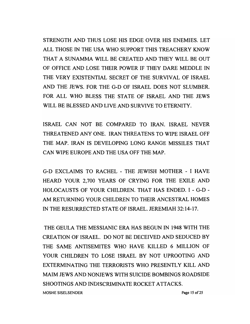STRENGTH AND THUS LOSE HIS EDGE OVER HIS ENEMIES. LET ALL THOSE IN THE USA WHO SUPPORT THIS TREACHERY KNOW THAT A SUNAMMA WILL BE CREATED AND THEY WILL BE OUT OF OFFICE AND LOSE THEIR POWER IF THEY DARE MEDDLE IN THE VERY EXISTENTIAL SECRET OF THE SURVIVAL OF ISRAEL AND THE JEWS. FOR THE G-D OF ISRAEL DOES NOT SLUMBER. FOR ALL WHO BLESS THE STATE OF ISRAEL AND THE JEWS WILL BE BLESSED AND LIVE AND SURVIVE TO ETERNITY.

ISRAEL CAN NOT BE COMPARED TO IRAN. ISRAEL NEVER THREATENED ANY ONE. IRAN THREATENS TO WIPE ISRAEL OFF THE MAP. IRAN IS DEVELOPING LONG RANGE MISSILES THAT CAN WIPE EUROPE AND THE USA OFF THE MAP.

G-D EXCLAIMS TO RACHEL - THE JEWISH MOTHER - I HAVE HEARD YOUR 2,700 YEARS OF CRYING FOR THE EXILE AND HOLOCAUSTS OF YOUR CHILDREN. THAT HAS ENDED. I - G-D - AM RETURNING YOUR CHILDREN TO THEIR ANCESTRAL HOMES IN THE RESURRECTED STATE OF ISRAEL. JEREMIAH 32:14-17.

THE GEULA THE MESSIANIC ERA HAS BEGUN IN 1948 WITH THE CREATION OF ISRAEL. DO NOT BE DECEIVED AND SEDUCED BY THE SAME ANTISEMITES WHO HAVE KILLED 6 MILLION OF YOUR CHILDREN TO LOSE ISRAEL BY NOT UPROOTING AND EXTERMINATING THE TERRORISTS WHO PRESENTLY KILL AND MAIM JEWS AND NONJEWS WITH SUICIDE BOMBINGS ROADSIDE SHOOTINGS AND INDISCRIMINATE ROCKET ATTACKS. MOSHE SISELSENDER Page 15 of 25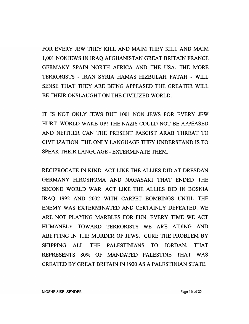FOR EVERY JEW THEY KILL AND MAIM THEY KILL AND MAIM 1,001 NONJEWS IN IRAQ AFGHANISTAN GREAT BRITAIN FRANCE GERMANY SPAIN NORTH AFRICA AND THE USA. THE MORE TERRORISTS - IRAN SYRIA HAMAS HIZBULAH FATAH - WILL SENSE THAT THEY ARE BEING APPEASED THE GREATER WILL BE THEIR ONSLAUGHT ON THE CIVILIZED WORLD.

IT IS NOT ONLY JEWS BUT 1001 NON JEWS FOR EVERY JEW HURT. WORLD WAKE UP! THE NAZIS COULD NOT BE APPEASED AND NEITHER CAN THE PRESENT FASCIST ARAB THREAT TO CIVILIZATION. THE ONLY LANGUAGE THEY UNDERSTAND IS TO SPEAK THEIR LANGUAGE - EXTERMINATE THEM.

RECIPROCATE IN KIND. ACT LIKE THE ALLIES DID AT DRESDAN GERMANY HIROSHOMA AND NAGASAKI THAT ENDED THE SECOND WORLD WAR. ACT LIKE THE ALLIES DID IN BOSNIA IRAQ 1992 AND 2002 WITH CARPET BOMBINGS UNTIL THE ENEMY WAS EXTERMINATED AND CERTAINLY DEFEATED. WE ARE NOT PLAYING MARBLES FOR FUN. EVERY TIME WE ACT HUMANELY TOWARD TERRORISTS WE ARE AIDING AND ABETTING IN THE MURDER OF JEWS. CURE THE PROBLEM BY SHIPPING ALL THE PALESTINIANS TO JORDAN. THAT REPRESENTS 80% OF MANDATED PALESTINE THAT WAS CREATED BY GREAT BRITAIN IN 1920 AS A PALESTINIAN STATE.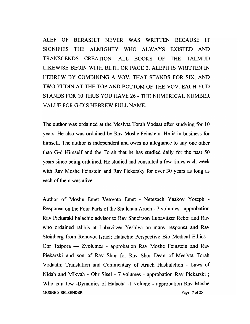ALEF OF BERASHIT NEVER WAS WRITTEN BECAUSE IT SIGNIFIES THE ALMIGHTY WHO ALWAYS EXISTED AND TRANSCENDS CREATION. ALL BOOKS OF THE TALMUD LIKEWISE BEGIN WITH BETH OR PAGE 2. ALEPH IS WRITTEN IN HEBREW BY COMBINING A VOV, THAT STANDS FOR SIX, AND TWO YUDIN AT THE TOP AND BOTTOM OF THE VOV. EACH YUD STANDS FOR 10 THUS YOU HAVE 26 - THE NUMERICAL NUMBER VALUE FOR G-D' S HEBREW FULL NAME.

The author was ordained at the Mesivta Torah Vodaat after studying for 10 years. He also was ordained by Rav Moshe Feinstein. He is in business for himself. The author is independent and owes no allegiance to any one other than G-d Himself and the Torah that he has studied daily for the past 50 years since being ordained. He studied and consulted a few times each week with Rav Moshe Feinstein and Rav Piekarsky for over 30 years as long as each of them was alive.

Author of Moshe Emet Vetoroto Emet - Netezach Yaakov Yoseph - Responsa on the Four Parts of the Shulchan Aruch - 7 volumes - approbation Rav Piekarski halachic advisor to Rav Shneirson Lubavitzer Rebbi and Rav who ordained rabbis at Lubavitzer Yeshiva on many responsa and Rav Steinberg from Rehovot Israel; Halachic Perspective Bio Medical Ethics - Ohr Tzipora — Zvolumes - approbation Rav Moshe Feinstein and Rav Piekarski and son of Rav Shor for Rav Shor Dean of Mesivta Torah Vodaath; Translation and Commentary of Aruch Hashulchon - Laws of Nidah and Mikvah - Ohr Sisel - 7 volumes - approbation Rav Piekarski ; Who is a Jew -Dynamics of Halacha -1 volume - approbation Rav Moshe MOSHE SISELSENDER Page 17 of 25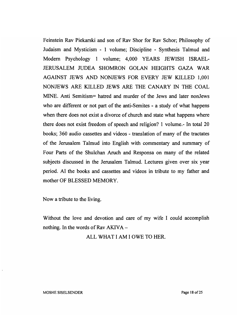Feinstein Rav Piekarski and son of Rav Shor for Rav Schor; Philosophy of Judaism and Mysticism - 1 volume; Discipline - Synthesis Talmud and Modem Psychology 1 volume; 4,000 YEARS JEWISH ISRAEL-JERUSALEM JUDEA SHOMRON GOLAN HEIGHTS GAZA WAR AGAINST JEWS AND NONJEWS FOR EVERY JEW KILLED 1,001 NONJEWS ARE KILLED JEWS ARE THE CANARY IN THE COAL MINE. Anti Semitism= hatred and murder of the Jews and later nonJews who are different or not part of the anti-Semites - a study of what happens when there does not exist a divorce of church and state what happens where there does not exist freedom of speech and religion? 1 volume.- In total 20 books; 360 audio cassettes and videos - translation of many of the tractates of the Jerusalem Talmud into English with commentary and summary of Four Parts of the Shulchan Aruch and Responsa on many of the related subjects discussed in the Jerusalem Talmud. Lectures given over six year period. Al the books and cassettes and videos in tribute to my father and mother OF BLESSED MEMORY.

Now a tribute to the living.

Without the love and devotion and care of my wife I could accomplish nothing. In the words of Rav  $AKIVA -$ 

ALL WHAT I AM lOWE TO HER.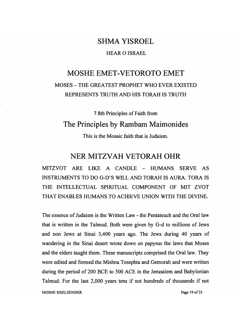#### SHMA YISROEL

#### HEAR 0 ISRAEL

#### MOSHE EMET-VETOROTO EMET MOSES - THE GREATEST PROPHET WHO EVER EXISTED REPRESENTS TRUTH AND HIS TORAH IS TRUTH

#### 7.8th Principles of Faith from The Principles by Rambam Maimonides

This is the Mosaic faith that is Judaism.

#### NER MITZVAH VETORAH OHR

MITZVOT ARE LIKE A CANDLE - HUMANS SERVE AS INSTRUMENTS TO DO G-D'S WILL AND TORAH IS AURA. TORA IS THE INTELLECTUAL SPIRITUAL COMPONENT OF MIT ZVOT THAT ENABLES HUMANS TO ACHIEVE UNION WITH THE DIVINE.

The essence of Judaism is the Written Law - the Pentateuch and the Oral law that is written in the Talmud. Both were given by G-d to millions of Jews and non Jews at Sinai 3,400 years ago. The Jews during 40 years of wandering in the Sinai desert wrote down on papyrus the laws that Moses and the elders taught them. These manuscripts comprised the Oral law. They were edited and formed the Mishna Tosephta and Gemorah and were written during the period of 200 BCE to 500 ACE in the Jerusalem and Babylonian Talmud. For the last 2,000 years tens if not hundreds of thousands if not

MOSHE SISELSENDER Page 19 of 25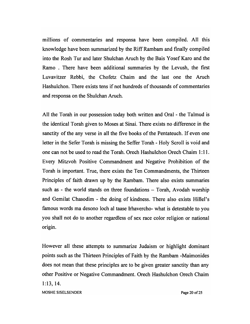millions of commentaries and responsa have been compiled. All this knowledge have been summarized by the Riff Rambam and finally compiled into the Rosh Tur and later Shulchan Aruch by the Bais Yosef Karo and the Ramo . There have been additional summaries by the Levush, the first Luvavitzer Rebbi, the Chofetz Chaim and the last one the Aruch Hashulchon. There exists tens if not hundreds of thousands of commentaries and responsa on the Shulchan Aruch.

All the Torah in our possession today both written and Oral - the Talmud is the identical Torah given to Moses at Sinai. There exists no difference in the sanctity of the any verse in all the five books of the Pentateuch. If even one letter in the Sefer Torah is missing the Seffer Torah - Holy Scroll is void and one can not be used to read the Torah. Orech Hashulchon Orech Chaim 1: 11. Every Mitzvoh Positive Commandment and Negative Prohibition of the Torah is important. True, there exists the Ten Commandments, the Thirteen Principles of faith drawn up by the Rambam. There also exists summaries such as - the world stands on three foundations  $-$  Torah, Avodah worship and Gemilat Chasodim - the doing of kindness. There also exists Hillel's famous words ma desono loch al taase lrhavercho- what is detestable to you you shall not do to another regardless of sex race color religion or national origin.

However all these attempts to summarize Judaism or highlight dominant points such as the Thirteen Principles of Faith by the Rambam -Maimonides does not mean that these principles are to be given greater sanctity than any other Positive or Negative Commandment. Orech Hashulchon Orech Chaim 1:13,14. MOSHE SISELSENDER Page 20 of 25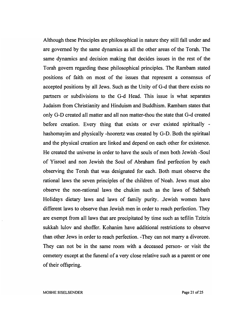Although these Principles are philosophical in nature they still fall under and are governed by the same dynamics as all the other areas of the Torah. The same dynamics and decision making that decides issues in the rest of the Torah govern regarding these philosophical principles. The Rambam stated positions of faith on most of the issues that represent a consensus of accepted positions by all Jews. Such as the Unity of G-d that there exists no partners or subdivisions to the G-d Head. This issue is what separates Judaism from Christianity and Hinduism and Buddhism. Rambam states that only G-D created all matter and all non matter-thou the state that G-d created before creation. Every thing that exists or ever existed spiritually hashomayim and physically -hoorertz was created by G-D. Both the spiritual and the physical creation are linked and depend on each other for existence. He created the universe in order to have the souls of men both Jewish -Soul of Yisroel and non Jewish the Soul of Abraham find perfection by each observing the Torah that was designated for each. Both must observe the rational laws the seven principles of the children of Noah. Jews must also observe the non-rational laws the chukim such as the laws of Sabbath Holidays dietary laws and laws of family purity. Jewish women have different laws to observe than Jewish men in order to reach perfection. They are exempt from all laws that are precipitated by time such as tefilin Tzitzis sukkah lulov and shoffer. Kohanim have additional restrictions to observe than other Jews in order to reach perfection. -They can not marry a divorcee. They can not be in the same room with a deceased person- or visit the cemetery except at the funeral of a very close relative such as a parent or one of their offspring.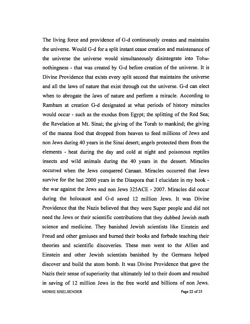The living force and providence of G-d continuously creates and maintains the universe. Would G-d for a split instant cease creation and maintenance of the universe the universe would simultaneously disintegrate into Tohunothingness - that was created by G-d before creation of the universe. It is Divine Providence that exists every split second that maintains the universe and all the laws of nature that exist through out the universe. G-d can elect when to abrogate the laws of nature and perform a miracle. According to Rambam at creation G-d designated at what periods of history miracles would occur - such as the exodus from Egypt; the splitting of the Red Sea; the Revelation at Mt. Sinai; the giving of the Torah to mankind; the giving of the manna food that dropped from heaven to feed millions of Jews and non Jews during 40 years in the Sinai desert; angels protected them from the elements - heat during the day and cold at night and poisonous reptiles insects and wild animals during the 40 years in the dessert. Miracles occurred when the Jews conquered Canaan. Miracles occurred that Jews survive for the last 2000 years in the Diaspora that I elucidate in my book the war against the Jews and non Jews 325ACE - 2007. Miracles did occur during the holocaust and G-d saved 12 million Jews. It was Divine Providence that the Nazis believed that they were Super people and did not need the Jews or their scientific contributions that they dubbed Jewish math science and medicine. They banished Jewish scientists like Einstein and Freud and other geniuses and burned their books and forbade teaching their theories and scientific discoveries. These men went to the Allies and Einstein and other Jewish scientists banished by the Germans helped discover and build the atom bomb. It was Divine Providence that gave the Nazis their sense of superiority that ultimately led to their doom and resulted in saving of 12 million Jews in the free world and billions of non Jews. MOSHE SISELSENDER Page 22 of 25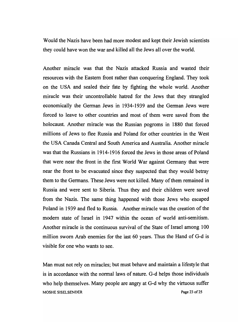Would the Nazis have been had more modest and kept their Jewish scientists they could have won the war and killed all the Jews all over the world.

Another miracle was that the Nazis attacked Russia and wasted their resources with the Eastern front rather than conquering England. They took on the USA and sealed their fate by fighting the whole world. Another miracle was their uncontrollable hatred for the Jews that they strangled economically the German Jews in 1934-1939 and the German Jews were forced to leave to other countries and most of them were saved from the holocaust. Another miracle was the Russian pogroms in 1880 that forced millions of Jews to flee Russia and Poland for other countries in the West the USA Canada Central and South America and Australia. Another miracle was that the Russians in 1914-1916 forced the Jews in those areas of Poland that were near the front in the first World War against Germany that were near the front to be evacuated since they suspected that they would betray them to the Germans. These Jews were not killed. Many of them remained in Russia and were sent to Siberia. Thus they and their children were saved from the Nazis. The same thing happened with those Jews who escaped Poland in 1939 and fled to Russia. Another miracle was the creation of the modern state of Israel in 1947 within the ocean of world anti-semitism. Another miracle is the continuous survival of the State of Israel among 100 million sworn Arab enemies for the last 60 years. Thus the Hand of G-d is visible for one who wants to see.

Man must not rely on miracles; but must behave and maintain a lifestyle that is in accordance with the normal laws of nature. G-d helps those individuals who help themselves. Many people are angry at G-d why the virtuous suffer MOSHE SISELSENDER **Page 23 of 25**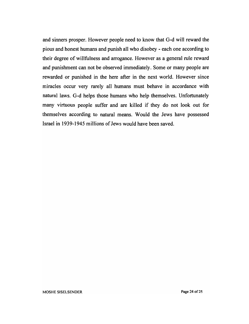and sinners prosper. However people need to know that G-d will reward the pious and honest humans and punish all who disobey - each one according to their degree of willfulness and arrogance. However as a general rule reward and punishment can not be observed immediately. Some or many people are rewarded or punished in the here after in the next world. However since miracles occur very rarely all humans must behave in accordance with natural laws. G-d helps those humans who help themselves. Unfortunately many virtuous people suffer and are killed if they do not look out for themselves according to natural means. Would the Jews have possessed Israel in 1939-1945 millions of Jews would have been saved.